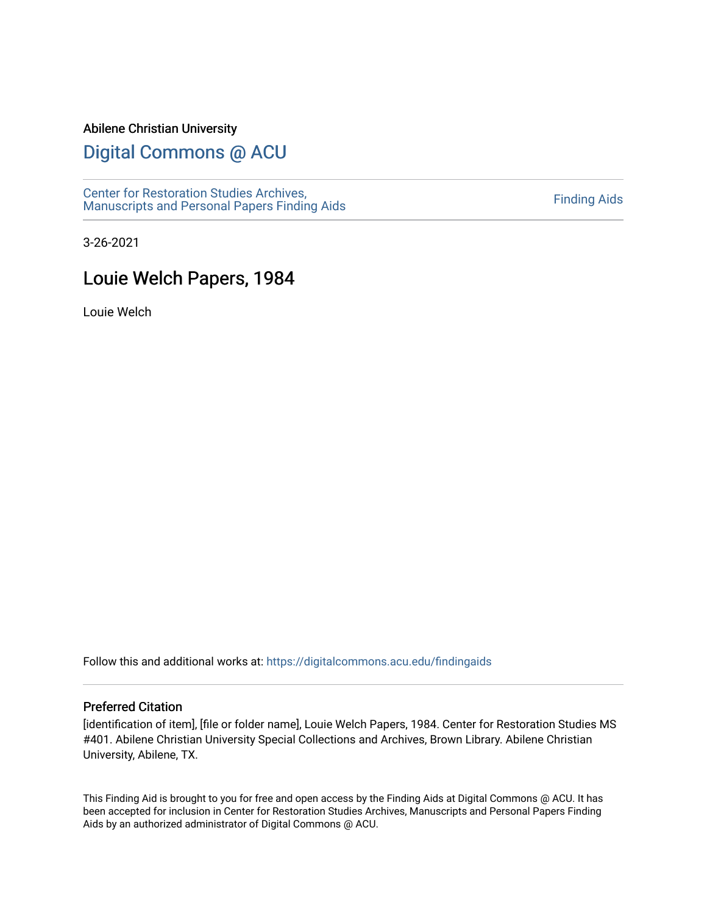#### Abilene Christian University

# [Digital Commons @ ACU](https://digitalcommons.acu.edu/)

[Center for Restoration Studies Archives,](https://digitalcommons.acu.edu/findingaids)  Center for Restoration Studies Archives,<br>[Manuscripts and Personal Papers Finding Aids](https://digitalcommons.acu.edu/findingaids) [Finding Aids](https://digitalcommons.acu.edu/crs_finding_aids) Finding Aids

3-26-2021

# Louie Welch Papers, 1984

Louie Welch

Follow this and additional works at: [https://digitalcommons.acu.edu/findingaids](https://digitalcommons.acu.edu/findingaids?utm_source=digitalcommons.acu.edu%2Ffindingaids%2F686&utm_medium=PDF&utm_campaign=PDFCoverPages)

#### Preferred Citation

[identification of item], [file or folder name], Louie Welch Papers, 1984. Center for Restoration Studies MS #401. Abilene Christian University Special Collections and Archives, Brown Library. Abilene Christian University, Abilene, TX.

This Finding Aid is brought to you for free and open access by the Finding Aids at Digital Commons @ ACU. It has been accepted for inclusion in Center for Restoration Studies Archives, Manuscripts and Personal Papers Finding Aids by an authorized administrator of Digital Commons @ ACU.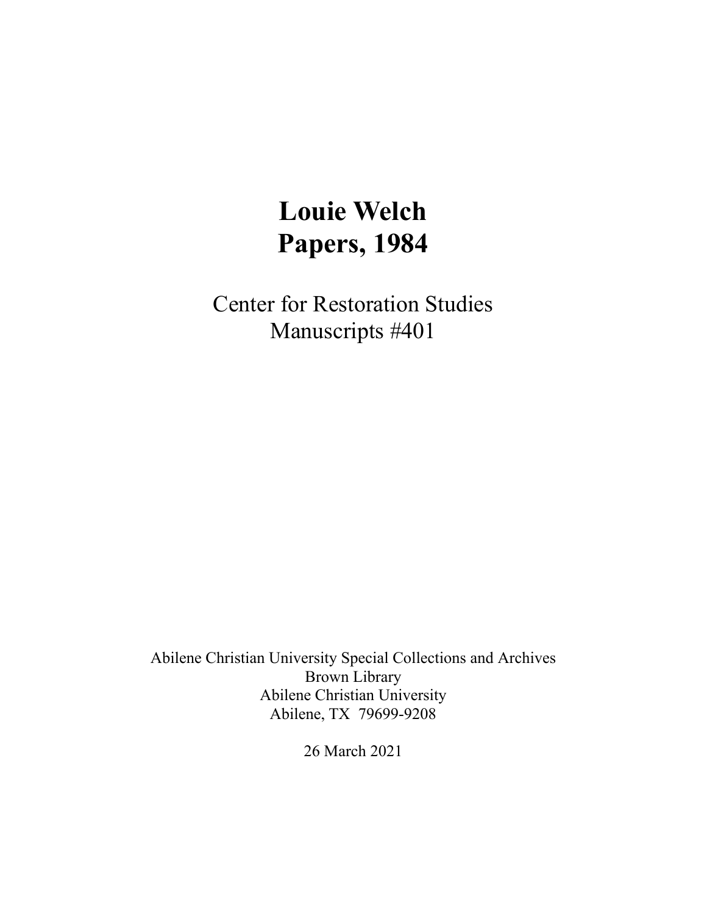# **Louie Welch Papers, 1984**

Center for Restoration Studies Manuscripts #401

Abilene Christian University Special Collections and Archives Brown Library Abilene Christian University Abilene, TX 79699-9208

26 March 2021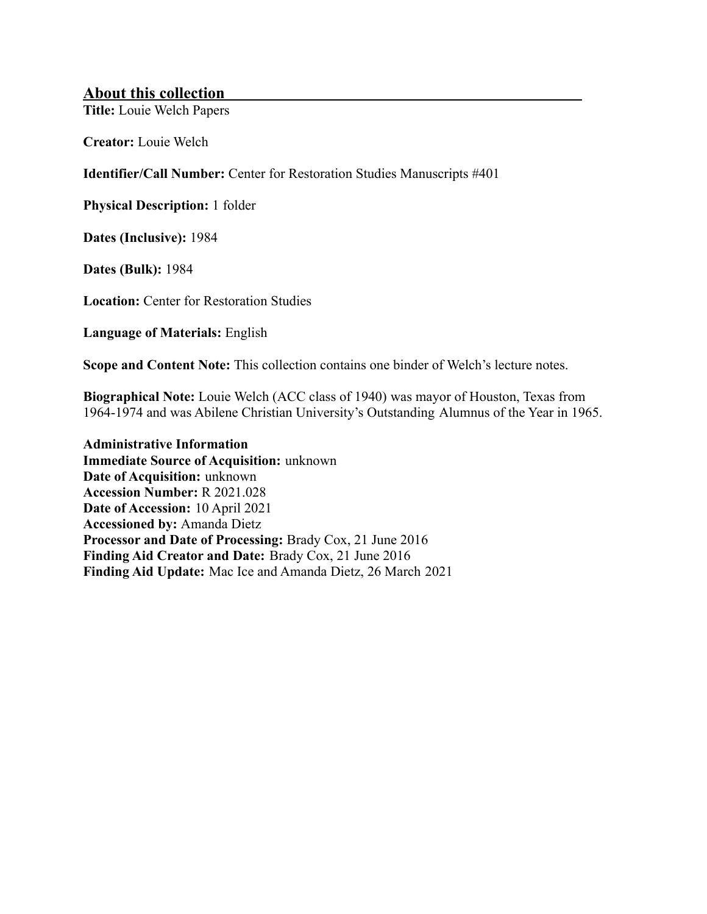#### **About this collection**

**Title:** Louie Welch Papers

**Creator:** Louie Welch

**Identifier/Call Number:** Center for Restoration Studies Manuscripts #401

**Physical Description:** 1 folder

**Dates (Inclusive):** 1984

**Dates (Bulk):** 1984

**Location:** Center for Restoration Studies

**Language of Materials:** English

**Scope and Content Note:** This collection contains one binder of Welch's lecture notes.

**Biographical Note:** Louie Welch (ACC class of 1940) was mayor of Houston, Texas from 1964-1974 and was Abilene Christian University's Outstanding Alumnus of the Year in 1965.

**Administrative Information Immediate Source of Acquisition:** unknown **Date of Acquisition:** unknown **Accession Number:** R 2021.028 **Date of Accession:** 10 April 2021 **Accessioned by:** Amanda Dietz **Processor and Date of Processing:** Brady Cox, 21 June 2016 **Finding Aid Creator and Date:** Brady Cox, 21 June 2016 **Finding Aid Update:** Mac Ice and Amanda Dietz, 26 March 2021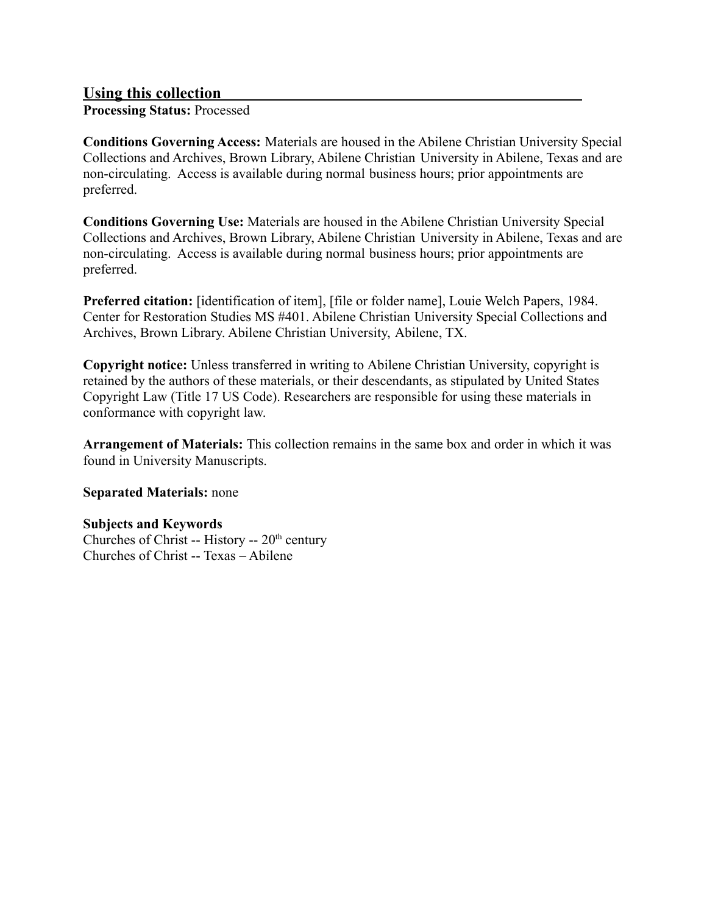#### **Using this collection**

**Processing Status:** Processed

**Conditions Governing Access:** Materials are housed in the Abilene Christian University Special Collections and Archives, Brown Library, Abilene Christian University in Abilene, Texas and are non-circulating. Access is available during normal business hours; prior appointments are preferred.

**Conditions Governing Use:** Materials are housed in the Abilene Christian University Special Collections and Archives, Brown Library, Abilene Christian University in Abilene, Texas and are non-circulating. Access is available during normal business hours; prior appointments are preferred.

**Preferred citation:** [identification of item], [file or folder name], Louie Welch Papers, 1984. Center for Restoration Studies MS #401. Abilene Christian University Special Collections and Archives, Brown Library. Abilene Christian University, Abilene, TX.

**Copyright notice:** Unless transferred in writing to Abilene Christian University, copyright is retained by the authors of these materials, or their descendants, as stipulated by United States Copyright Law (Title 17 US Code). Researchers are responsible for using these materials in conformance with copyright law.

**Arrangement of Materials:** This collection remains in the same box and order in which it was found in University Manuscripts.

#### **Separated Materials:** none

#### **Subjects and Keywords**

Churches of Christ -- History --  $20<sup>th</sup>$  century Churches of Christ -- Texas – Abilene